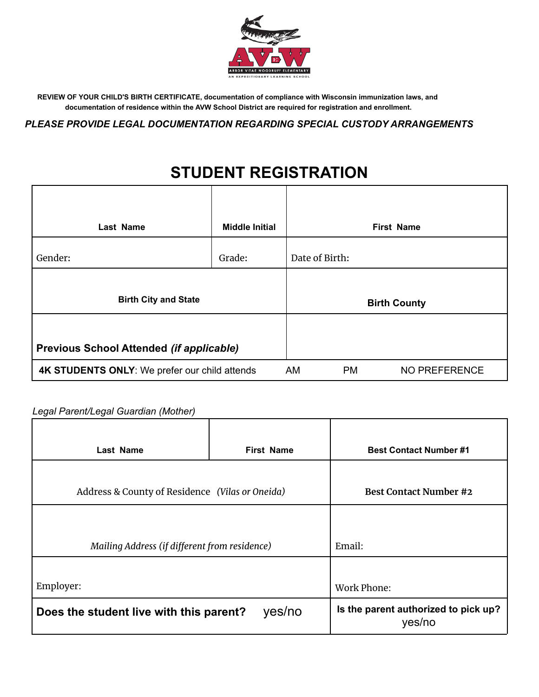

**REVIEW OF YOUR CHILD'S BIRTH CERTIFICATE, documentation of compliance with Wisconsin immunization laws, and documentation of residence within the AVW School District are required for registration and enrollment.**

*PLEASE PROVIDE LEGAL DOCUMENTATION REGARDING SPECIAL CUSTODY ARRANGEMENTS*

# **STUDENT REGISTRATION**

| <b>Last Name</b>                                | <b>Middle Initial</b> |                 | <b>First Name</b>    |
|-------------------------------------------------|-----------------------|-----------------|----------------------|
| Gender:                                         | Grade:                | Date of Birth:  |                      |
| <b>Birth City and State</b>                     |                       |                 | <b>Birth County</b>  |
| <b>Previous School Attended (if applicable)</b> |                       |                 |                      |
| 4K STUDENTS ONLY: We prefer our child attends   |                       | AM<br><b>PM</b> | <b>NO PREFERENCE</b> |

*Legal Parent/Legal Guardian (Mother)*

| <b>Last Name</b>                                | <b>First Name</b>             | <b>Best Contact Number #1</b>                  |  |  |  |  |  |
|-------------------------------------------------|-------------------------------|------------------------------------------------|--|--|--|--|--|
|                                                 |                               |                                                |  |  |  |  |  |
| Address & County of Residence (Vilas or Oneida) | <b>Best Contact Number #2</b> |                                                |  |  |  |  |  |
|                                                 |                               |                                                |  |  |  |  |  |
| Mailing Address (if different from residence)   | Email:                        |                                                |  |  |  |  |  |
|                                                 |                               |                                                |  |  |  |  |  |
| Employer:                                       |                               |                                                |  |  |  |  |  |
| Does the student live with this parent?         | yes/no                        | Is the parent authorized to pick up?<br>yes/no |  |  |  |  |  |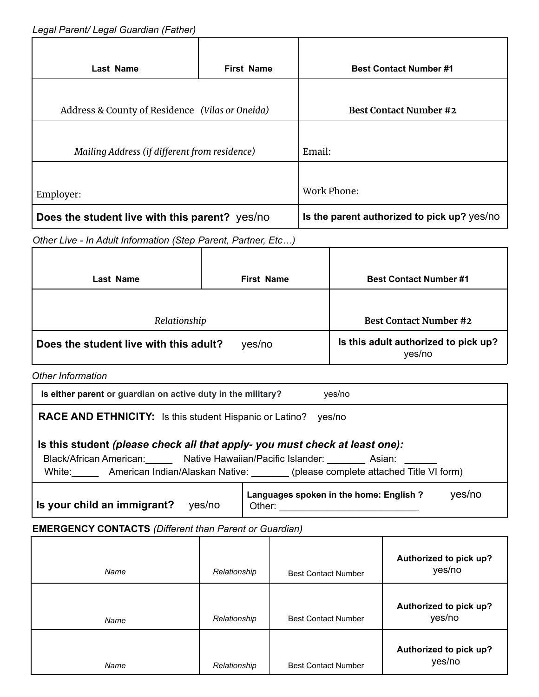| Last Name                                       | <b>First Name</b> | <b>Best Contact Number #1</b>               |  |  |  |  |  |  |
|-------------------------------------------------|-------------------|---------------------------------------------|--|--|--|--|--|--|
|                                                 |                   |                                             |  |  |  |  |  |  |
| Address & County of Residence (Vilas or Oneida) |                   | <b>Best Contact Number #2</b>               |  |  |  |  |  |  |
|                                                 |                   |                                             |  |  |  |  |  |  |
| Mailing Address (if different from residence)   |                   | Email:                                      |  |  |  |  |  |  |
|                                                 |                   |                                             |  |  |  |  |  |  |
| Employer:                                       |                   | Work Phone:                                 |  |  |  |  |  |  |
| Does the student live with this parent? yes/no  |                   | Is the parent authorized to pick up? yes/no |  |  |  |  |  |  |

*Other Live - In Adult Information (Step Parent, Partner, Etc…)*

| Last Name                              | <b>First Name</b>             | <b>Best Contact Number #1</b>                  |
|----------------------------------------|-------------------------------|------------------------------------------------|
| Relationship                           | <b>Best Contact Number #2</b> |                                                |
| Does the student live with this adult? | yes/no                        | Is this adult authorized to pick up?<br>yes/no |

### *Other Information*

| Is either parent or guardian on active duty in the military?<br>yes/no                                                                                                                                                                    |                                                                                                                                                                                                                                                                                     |  |  |  |  |  |  |  |  |  |  |
|-------------------------------------------------------------------------------------------------------------------------------------------------------------------------------------------------------------------------------------------|-------------------------------------------------------------------------------------------------------------------------------------------------------------------------------------------------------------------------------------------------------------------------------------|--|--|--|--|--|--|--|--|--|--|
| <b>RACE AND ETHNICITY:</b> Is this student Hispanic or Latino?<br>yes/no                                                                                                                                                                  |                                                                                                                                                                                                                                                                                     |  |  |  |  |  |  |  |  |  |  |
| Is this student (please check all that apply- you must check at least one):<br>Black/African American: Native Hawaiian/Pacific Islander: Asian: Asian:<br>White: American Indian/Alaskan Native: (please complete attached Title VI form) |                                                                                                                                                                                                                                                                                     |  |  |  |  |  |  |  |  |  |  |
| Is your child an immigrant?<br>yes/no                                                                                                                                                                                                     | yes/no<br>Languages spoken in the home: English ?<br>Other: and the state of the state of the state of the state of the state of the state of the state of the state of the state of the state of the state of the state of the state of the state of the state of the state of the |  |  |  |  |  |  |  |  |  |  |

## **EMERGENCY CONTACTS** *(Different than Parent or Guardian)*

| Name | Relationship | <b>Best Contact Number</b> | Authorized to pick up?<br>yes/no |
|------|--------------|----------------------------|----------------------------------|
| Name | Relationship | <b>Best Contact Number</b> | Authorized to pick up?<br>yes/no |
| Name | Relationship | <b>Best Contact Number</b> | Authorized to pick up?<br>yes/no |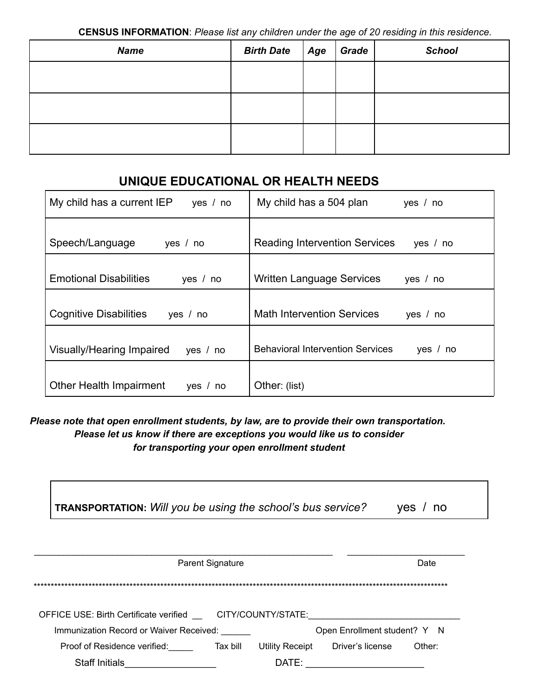| <b>Name</b> | <b>Birth Date</b> $\int$ Age | Grade | <b>School</b> |
|-------------|------------------------------|-------|---------------|
|             |                              |       |               |
|             |                              |       |               |
|             |                              |       |               |
|             |                              |       |               |
|             |                              |       |               |
|             |                              |       |               |

# **UNIQUE EDUCATIONAL OR HEALTH NEEDS**

| My child has a current IEP          | My child has a 504 plan                 |
|-------------------------------------|-----------------------------------------|
| yes $/$ no                          | yes $/$ no                              |
| Speech/Language                     | <b>Reading Intervention Services</b>    |
| yes $/$ no                          | yes $/$ no                              |
| <b>Emotional Disabilities</b>       | Written Language Services               |
| yes $/$ no                          | yes / no                                |
| <b>Cognitive Disabilities</b>       | <b>Math Intervention Services</b>       |
| yes / no                            | yes / no                                |
| Visually/Hearing Impaired           | <b>Behavioral Intervention Services</b> |
| yes / no                            | yes / no                                |
| Other Health Impairment<br>yes / no | Other: (list)                           |

## *Please note that open enrollment students, by law, are to provide their own transportation. Please let us know if there are exceptions you would like us to consider for transporting your open enrollment student*

Г

| <b>TRANSPORTATION:</b> Will you be using the school's bus service? | yes / no |  |
|--------------------------------------------------------------------|----------|--|
|                                                                    |          |  |
| <b>Parent Signature</b>                                            | Date     |  |

OFFICE USE: Birth Certificate verified \_\_ CITY/COUNTY/STATE: \_\_\_\_\_\_\_\_\_\_\_\_\_\_\_\_\_\_\_ Immunization Record or Waiver Received: \_\_\_\_\_\_ Open Enrollment student? Y N Proof of Residence verified: Tax bill Utility Receipt Driver's license Other:

\*\*\*\*\*\*\*\*\*\*\*\*\*\*\*\*\*\*\*\*\*\*\*\*\*\*\*\*\*\*\*\*\*\*\*\*\*\*\*\*\*\*\*\*\*\*\*\*\*\*\*\*\*\*\*\*\*\*\*\*\*\*\*\*\*\*\*\*\*\*\*\*\*\*\*\*\*\*\*\*\*\*\*\*\*\*\*\*\*\*\*\*\*\*\*\*\*\*\*\*\*\*\*\*\*\*\*\*\*\*\*\*\*\*\*\*\*\*\*\*\*

Staff Initials **Example 20 and 20 and 20 and 20 and 20 and 20 and 20 and 20 and 20 and 20 and 20 and 20 and 20**